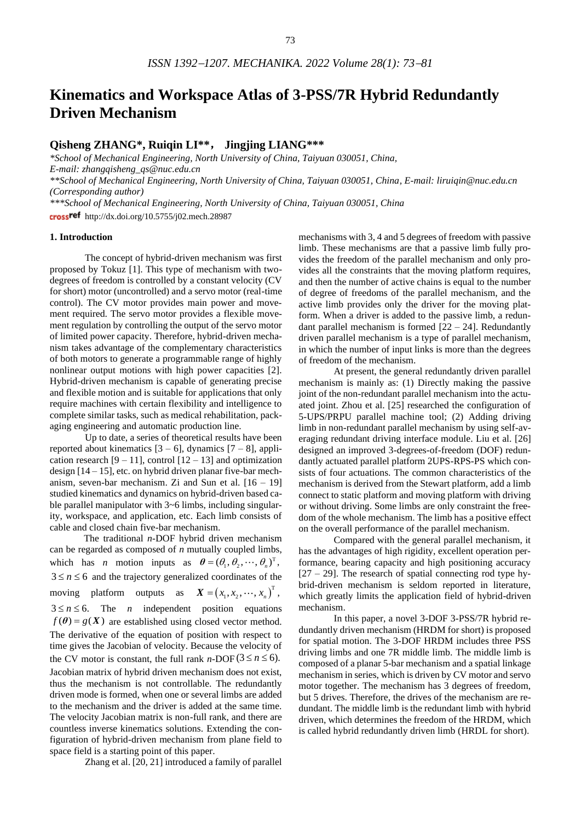# **Kinematics and Workspace Atlas of 3-PSS/7R Hybrid Redundantly Driven Mechanism**

# **Qisheng ZHANG\*, Ruiqin LI\*\***, **Jingjing LIANG\*\*\***

*\*School of Mechanical Engineering, North University of China, Taiyuan 030051, China, E-mail: zhangqisheng\_qs@nuc.edu.cn \*\*School of Mechanical Engineering, North University of China, Taiyuan 030051, China, E-mail: liruiqin@nuc.edu.cn (Corresponding author) \*\*\*School of Mechanical Engineering, North University of China, Taiyuan 030051, China*

crossref http://dx.doi.org/10.5755/j02.mech.28987

#### **1. Introduction**

The concept of hybrid-driven mechanism was first proposed by Tokuz [1]. This type of mechanism with twodegrees of freedom is controlled by a constant velocity (CV for short) motor (uncontrolled) and a servo motor (real-time control). The CV motor provides main power and movement required. The servo motor provides a flexible movement regulation by controlling the output of the servo motor of limited power capacity. Therefore, hybrid-driven mechanism takes advantage of the complementary characteristics of both motors to generate a programmable range of highly nonlinear output motions with high power capacities [2]. Hybrid-driven mechanism is capable of generating precise and flexible motion and is suitable for applications that only require machines with certain flexibility and intelligence to complete similar tasks, such as medical rehabilitation, packaging engineering and automatic production line.

Up to date, a series of theoretical results have been reported about kinematics  $[3 - 6]$ , dynamics  $[7 - 8]$ , application research  $[9 - 11]$ , control  $[12 - 13]$  and optimization design [14 – 15], etc. on hybrid driven planar five-bar mechanism, seven-bar mechanism. Zi and Sun et al.  $[16 - 19]$ studied kinematics and dynamics on hybrid-driven based cable parallel manipulator with 3~6 limbs, including singularity, workspace, and application, etc. Each limb consists of cable and closed chain five-bar mechanism.

The traditional *n*-DOF hybrid driven mechanism can be regarded as composed of *n* mutually coupled limbs, which has *n* motion inputs as  $\boldsymbol{\theta} = (\theta_1, \theta_2, \dots, \theta_n)^T$ ,  $3 \le n \le 6$  and the trajectory generalized coordinates of the moving platform outputs as  $\boldsymbol{X} = (x_1, x_2, \dots, x_n)^T$ ,  $3 \le n \le 6$ . The *n* independent position equations  $f(\theta) = g(X)$  are established using closed vector method. The derivative of the equation of position with respect to time gives the Jacobian of velocity. Because the velocity of the CV motor is constant, the full rank *n*-DOF ( $3 \le n \le 6$ ). Jacobian matrix of hybrid driven mechanism does not exist, thus the mechanism is not controllable. The redundantly driven mode is formed, when one or several limbs are added to the mechanism and the driver is added at the same time. The velocity Jacobian matrix is non-full rank, and there are countless inverse kinematics solutions. Extending the configuration of hybrid-driven mechanism from plane field to space field is a starting point of this paper.

Zhang et al. [20, 21] introduced a family of parallel

mechanisms with 3, 4 and 5 degrees of freedom with passive limb. These mechanisms are that a passive limb fully provides the freedom of the parallel mechanism and only provides all the constraints that the moving platform requires, and then the number of active chains is equal to the number of degree of freedoms of the parallel mechanism, and the active limb provides only the driver for the moving platform. When a driver is added to the passive limb, a redundant parallel mechanism is formed  $[22 - 24]$ . Redundantly driven parallel mechanism is a type of parallel mechanism, in which the number of input links is more than the degrees of freedom of the mechanism.

At present, the general redundantly driven parallel mechanism is mainly as: (1) Directly making the passive joint of the non-redundant parallel mechanism into the actuated joint. Zhou et al. [25] researched the configuration of 5-UPS/PRPU parallel machine tool; (2) Adding driving limb in non-redundant parallel mechanism by using self-averaging redundant driving interface module. Liu et al. [26] designed an improved 3-degrees-of-freedom (DOF) redundantly actuated parallel platform 2UPS-RPS-PS which consists of four actuations. The common characteristics of the mechanism is derived from the Stewart platform, add a limb connect to static platform and moving platform with driving or without driving. Some limbs are only constraint the freedom of the whole mechanism. The limb has a positive effect on the overall performance of the parallel mechanism.

Compared with the general parallel mechanism, it has the advantages of high rigidity, excellent operation performance, bearing capacity and high positioning accuracy  $[27 - 29]$ . The research of spatial connecting rod type hybrid-driven mechanism is seldom reported in literature, which greatly limits the application field of hybrid-driven mechanism.

In this paper, a novel 3-DOF 3-PSS/7R hybrid redundantly driven mechanism (HRDM for short) is proposed for spatial motion. The 3-DOF HRDM includes three PSS driving limbs and one 7R middle limb. The middle limb is composed of a planar 5-bar mechanism and a spatial linkage mechanism in series, which is driven by CV motor and servo motor together. The mechanism has 3 degrees of freedom, but 5 drives. Therefore, the drives of the mechanism are redundant. The middle limb is the redundant limb with hybrid driven, which determines the freedom of the HRDM, which is called hybrid redundantly driven limb (HRDL for short).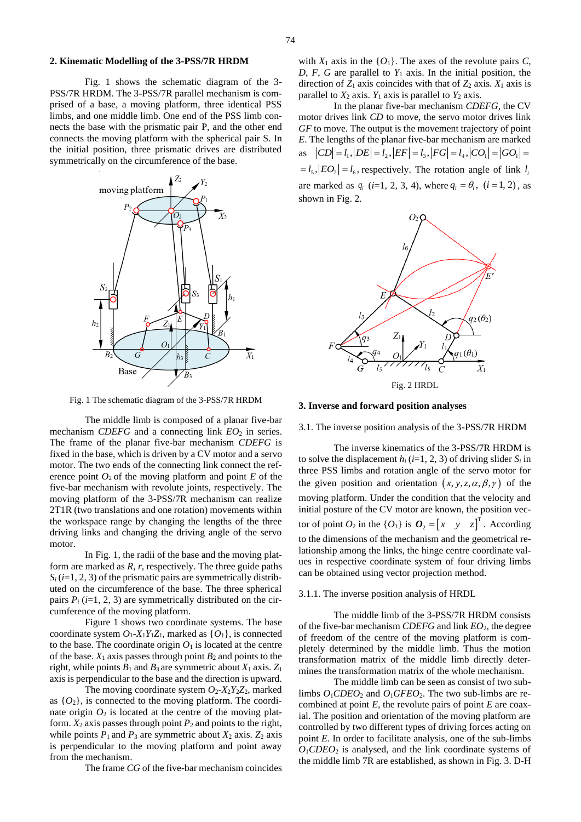# **2. Kinematic Modelling of the 3-PSS/7R HRDM**

Fig. 1 shows the schematic diagram of the 3- PSS/7R HRDM. The 3-PSS/7R parallel mechanism is comprised of a base, a moving platform, three identical PSS limbs, and one middle limb. One end of the PSS limb connects the base with the prismatic pair P, and the other end connects the moving platform with the spherical pair S. In the initial position, three prismatic drives are distributed symmetrically on the circumference of the base.



Fig. 1 The schematic diagram of the 3-PSS/7R HRDM

The middle limb is composed of a planar five-bar mechanism *CDEFG* and a connecting link  $EO_2$  in series. The frame of the planar five-bar mechanism *CDEFG* is fixed in the base, which is driven by a CV motor and a servo motor. The two ends of the connecting link connect the reference point  $O_2$  of the moving platform and point *E* of the five-bar mechanism with revolute joints, respectively. The moving platform of the 3-PSS/7R mechanism can realize 2T1R (two translations and one rotation) movements within the workspace range by changing the lengths of the three driving links and changing the driving angle of the servo motor.

In Fig. 1, the radii of the base and the moving platform are marked as *R*, *r*, respectively. The three guide paths  $S_i$  (*i*=1, 2, 3) of the prismatic pairs are symmetrically distributed on the circumference of the base. The three spherical pairs  $P_i$  ( $i=1, 2, 3$ ) are symmetrically distributed on the circumference of the moving platform.

Figure 1 shows two coordinate systems. The base coordinate system  $O_1$ - $X_1Y_1Z_1$ , marked as  $\{O_1\}$ , is connected to the base. The coordinate origin  $O_1$  is located at the centre of the base.  $X_1$  axis passes through point  $B_2$  and points to the right, while points  $B_1$  and  $B_3$  are symmetric about  $X_1$  axis.  $Z_1$ axis is perpendicular to the base and the direction is upward.

The moving coordinate system  $O_2$ - $X_2Y_2Z_2$ , marked as  $\{O_2\}$ , is connected to the moving platform. The coordinate origin  $O_2$  is located at the centre of the moving platform.  $X_2$  axis passes through point  $P_2$  and points to the right, while points  $P_1$  and  $P_3$  are symmetric about  $X_2$  axis.  $Z_2$  axis is perpendicular to the moving platform and point away from the mechanism.

The frame *CG* of the five-bar mechanism coincides

with  $X_1$  axis in the  $\{O_1\}$ . The axes of the revolute pairs *C*, *D*, *F*, *G* are parallel to  $Y_1$  axis. In the initial position, the direction of  $Z_1$  axis coincides with that of  $Z_2$  axis.  $X_1$  axis is parallel to  $X_2$  axis.  $Y_1$  axis is parallel to  $Y_2$  axis.

In the planar five-bar mechanism *CDEFG*, the CV motor drives link *CD* to move, the servo motor drives link *GF* to move. The output is the movement trajectory of point *E*. The lengths of the planar five-bar mechanism are marked E. The lengths of the planar five-bar mechanism are marked<br>as  $|CD| = l_1$ ,  $|DE| = l_2$ ,  $|EF| = l_3$ ,  $|FG| = l_4$ ,  $|CO_1| = |GO_1|$  $= l_5$ ,  $|EO_2| = l_6$ , respectively. The rotation angle of link  $l_1$ are marked as  $q_i$  (*i*=1, 2, 3, 4), where  $q_i = \theta_i$ , (*i* = 1, 2), as shown in Fig. 2.



Fig. 2 HRDL

#### **3. Inverse and forward position analyses**

3.1. The inverse position analysis of the 3-PSS/7R HRDM

The inverse kinematics of the 3-PSS/7R HRDM is to solve the displacement  $h_i$  ( $i=1, 2, 3$ ) of driving slider  $S_i$  in three PSS limbs and rotation angle of the servo motor for the given position and orientation  $(x, y, z, \alpha, \beta, \gamma)$  of the moving platform. Under the condition that the velocity and initial posture of the CV motor are known, the position vector of point  $O_2$  in the  $\{O_1\}$  is  $O_2 = \begin{bmatrix} x & y & z \end{bmatrix}^T$ . According to the dimensions of the mechanism and the geometrical relationship among the links, the hinge centre coordinate values in respective coordinate system of four driving limbs can be obtained using vector projection method.

## 3.1.1. The inverse position analysis of HRDL

The middle limb of the 3-PSS/7R HRDM consists of the five-bar mechanism *CDEFG* and link *EO*2, the degree of freedom of the centre of the moving platform is completely determined by the middle limb. Thus the motion transformation matrix of the middle limb directly determines the transformation matrix of the whole mechanism.

The middle limb can be seen as consist of two sublimbs  $O_1CDEO_2$  and  $O_1GFEO_2$ . The two sub-limbs are recombined at point *E*, the revolute pairs of point *E* are coaxial. The position and orientation of the moving platform are controlled by two different types of driving forces acting on point *E*. In order to facilitate analysis, one of the sub-limbs  $O_1$ *CDEO*<sub>2</sub> is analysed, and the link coordinate systems of the middle limb 7R are established, as shown in Fig. 3. D-H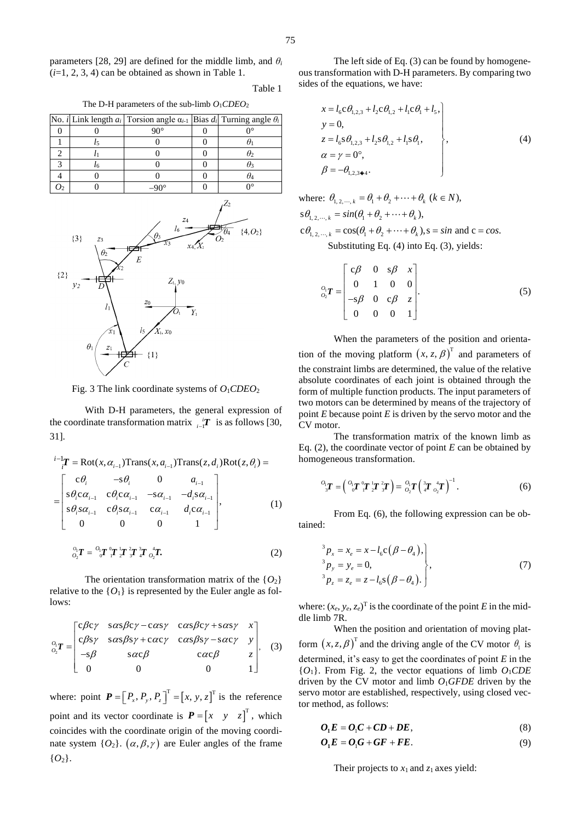parameters [28, 29] are defined for the middle limb, and *θ<sup>i</sup>*  $(i=1, 2, 3, 4)$  can be obtained as shown in Table 1.

Table 1

The D-H parameters of the sub-limb *O*1*CDEO*<sup>2</sup>

|  | No. <i>i</i> Link length $a_i$ Torsion angle $a_{i-1}$ Bias $d_i$ Turning angle $\theta_i$ |  |
|--|--------------------------------------------------------------------------------------------|--|
|  | ∩∩ہ                                                                                        |  |
|  |                                                                                            |  |
|  |                                                                                            |  |
|  |                                                                                            |  |
|  |                                                                                            |  |
|  |                                                                                            |  |



Fig. 3 The link coordinate systems of *O*1*CDEO*<sup>2</sup>

With D-H parameters, the general expression of the coordinate transformation matrix  $\prod_{i=1}^{n}$  is as follows [30, 31].

$$
\begin{aligned}\n&\int_{i-1}^{i-1} \mathbf{T} &= \text{Rot}(x, \alpha_{i-1}) \text{Trans}(x, a_{i-1}) \text{Trans}(z, d_i) \text{Rot}(z, \theta_i) \\
&= \begin{bmatrix}\n\mathbf{c}\theta_i & -\mathbf{s}\theta_i & 0 & a_{i-1} \\
\mathbf{s}\theta_i \mathbf{c}\alpha_{i-1} & \mathbf{c}\theta_i \mathbf{c}\alpha_{i-1} & -\mathbf{s}\alpha_{i-1} & -d_i \mathbf{s}\alpha_{i-1} \\
\mathbf{s}\theta_i \mathbf{s}\alpha_{i-1} & \mathbf{c}\theta_i \mathbf{s}\alpha_{i-1} & \mathbf{c}\alpha_{i-1} & d_i \mathbf{c}\alpha_{i-1} \\
0 & 0 & 0 & 1\n\end{bmatrix},\n\end{aligned} \tag{1}
$$

$$
{}^{0}_{O_2}T = {}^{O_1}_{O_1}T {}^{0}_{I}T {}^{1}_{2}T {}^{3}_{3}T {}^{4}_{O_2}T.
$$
 (2)

The orientation transformation matrix of the  $\{O_2\}$ relative to the  $\{O_1\}$  is represented by the Euler angle as follows:

$$
{}_{o_2}^{o_1}T = \begin{bmatrix} c\beta c\gamma & s\alpha s\beta c\gamma - c\alpha s\gamma & c\alpha s\beta c\gamma + s\alpha s\gamma & x \\ c\beta s\gamma & s\alpha s\beta s\gamma + c\alpha c\gamma & c\alpha s\beta s\gamma - s\alpha c\gamma & y \\ -s\beta & s\alpha c\beta & c\alpha c\beta & z \\ 0 & 0 & 0 & 1 \end{bmatrix}
$$
 (3)

where: point  $\boldsymbol{P} = \left[P_x, P_y, P_z\right]^T = \left[x, y, z\right]^T$  is the reference point and its vector coordinate is  $P = \begin{bmatrix} x & y & z \end{bmatrix}^T$ , which coincides with the coordinate origin of the moving coordinate system  $\{O_2\}$ .  $(\alpha, \beta, \gamma)$  are Euler angles of the frame  ${O_2}.$ 

The left side of Eq. (3) can be found by homogeneous transformation with D-H parameters. By comparing two sides of the equations, we have:

$$
x = l_6 c \theta_{1,2,3} + l_2 c \theta_{1,2} + l_1 c \theta_1 + l_5,
$$
  
\n
$$
y = 0,
$$
  
\n
$$
z = l_6 s \theta_{1,2,3} + l_2 s \theta_{1,2} + l_1 s \theta_1,
$$
  
\n
$$
\alpha = \gamma = 0^\circ,
$$
  
\n
$$
\beta = -\theta_{1,2,3} \bullet 4.
$$
\n(4)

where:  $\theta_{1, 2, \cdots, k} = \theta_1 + \theta_2 + \cdots + \theta_k$  ( $k \in N$ ),  $s\theta_{1, 2, \cdots, k} = \sin(\theta_1 + \theta_2 + \cdots + \theta_k),$  $c\theta_{1, 2, \dots, k} = \cos(\theta_1 + \theta_2 + \dots + \theta_k)$ ,  $s = \sin$  and  $c = \cos s$ . Substituting Eq. (4) into Eq. (3), yields:

$$
{}_{o_2}^o \mathbf{T} = \begin{bmatrix} c\beta & 0 & s\beta & x \\ 0 & 1 & 0 & 0 \\ -s\beta & 0 & c\beta & z \\ 0 & 0 & 0 & 1 \end{bmatrix} . \tag{5}
$$

When the parameters of the position and orientation of the moving platform  $(x, z, \beta)^T$  and parameters of the constraint limbs are determined, the value of the relative absolute coordinates of each joint is obtained through the form of multiple function products. The input parameters of two motors can be determined by means of the trajectory of point *E* because point *E* is driven by the servo motor and the CV motor.

The transformation matrix of the known limb as Eq. (2), the coordinate vector of point *E* can be obtained by homogeneous transformation.

$$
{}^{O_1}T = \left( \, {}^{O_1}T {}^{O_1}T {}^{1}_{2}T {}^{2}_{3}T \right) = \, {}^{O_1}T \left( {}^{3}_{4}T {}^{1}_{O_2}T \right)^{-1} . \tag{6}
$$

From Eq. (6), the following expression can be obtained:

$$
\begin{aligned}\n^3 p_x &= x_e = x - l_6 \mathbf{c} \left( \beta - \theta_4 \right), \\
^3 p_y &= y_e = 0, \\
^3 p_z &= z_e = z - l_6 \mathbf{s} \left( \beta - \theta_4 \right). \n\end{aligned} \tag{7}
$$

where:  $(x_e, y_e, z_e)$ <sup>T</sup> is the coordinate of the point *E* in the middle limb 7R.

When the position and orientation of moving platform  $(x, z, \beta)^T$  and the driving angle of the CV motor  $\theta_1$  is determined, it's easy to get the coordinates of point *E* in the  ${O_1}$ . From Fig. 2, the vector equations of limb  $O_1CDE$ driven by the CV motor and limb *O*1*GFDE* driven by the servo motor are established, respectively, using closed vector method, as follows:

$$
O_1E = O_1C + CD + DE, \tag{8}
$$

$$
O_1E = O_1G + GF + FE.
$$
 (9)

Their projects to *x*1 and *z*1 axes yield: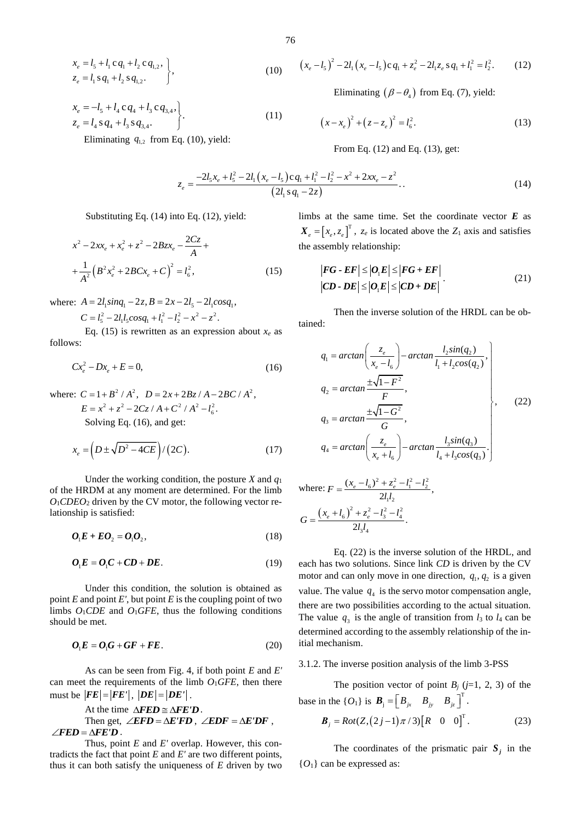$$
\begin{aligned}\nx_e &= l_5 + l_1 c q_1 + l_2 c q_{1,2}, \\
z_e &= l_1 s q_1 + l_2 s q_{1,2}.\n\end{aligned}
$$
\n(10)

$$
x_e = -l_5 + l_4 c q_4 + l_3 c q_{3,4},
$$
  
\n
$$
z_e = l_4 s q_4 + l_3 s q_{3,4}.
$$
 (11)

Eliminating  $q_{1,2}$  from Eq. (10), yield:

$$
(x_e - l_5)^2 - 2l_1(x_e - l_5)cq_1 + z_e^2 - 2l_1z_e \, sq_1 + l_1^2 = l_2^2. \qquad (12)
$$

Eliminating  $(\beta - \theta_4)$  from Eq. (7), yield:

$$
(x - x_e)^2 + (z - z_e)^2 = l_6^2.
$$
 (13)

From Eq. (12) and Eq. (13), get:

$$
z_e = \frac{-2l_5x_e + l_5^2 - 2l_1(x_e - l_5)cq_1 + l_1^2 - l_2^2 - x^2 + 2xx_e - z^2}{(2l_1sq_1 - 2z)}.
$$
\n(14)

Substituting Eq. (14) into Eq. (12), yield:

$$
x^{2} - 2xx_{e} + x_{e}^{2} + z^{2} - 2Bzx_{e} - \frac{2Cz}{A} + \frac{1}{A^{2}}(B^{2}x_{e}^{2} + 2BCx_{e} + C)^{2} = l_{6}^{2},
$$
\n(15)

where:  $A = 2l_1 \sin q_1 - 2z, B = 2x - 2l_5 - 2l_1 \cos q_1,$ <br> $C = l^2 - 2l \cos q_1 + l^2 - l^2 - r^2 - z^2$ 

 $C = l_s^2 - 2l_s l_s cos q_1 + l_s^2 - l_s^2 - x^2 - z^2$ .

Eq. (15) is rewritten as an expression about  $x_e$  as follows:

$$
Cx_e^2 - Dx_e + E = 0,
$$
\n(16)

where:  $C = 1 + B^2 / A^2$ ,  $D = 2x + 2Bz / A - 2BC / A^2$ ,<br> $F = x^2 + z^2 - 2Cz / A + C^2 / A^2 - I^2$  $E = x^2 + z^2 - 2Cz/A + C^2/A^2 - l_c^2$ .

Solving Eq. (16), and get:

$$
x_e = \left(D \pm \sqrt{D^2 - 4CE}\right) / \left(2C\right). \tag{17}
$$

Under the working condition, the posture *X* and  $q_1$ of the HRDM at any moment are determined. For the limb  $O_1$ *CDEO*<sub>2</sub> driven by the CV motor, the following vector relationship is satisfied:

$$
\boldsymbol{O}_1 \boldsymbol{E} + \boldsymbol{E} \boldsymbol{O}_2 = \boldsymbol{O}_1 \boldsymbol{O}_2, \tag{18}
$$

$$
O_1E = O_1C + CD + DE.
$$
 (19)

Under this condition, the solution is obtained as point  $E$  and point  $E'$ , but point  $E$  is the coupling point of two limbs  $O_1CDE$  and  $O_1GFE$ , thus the following conditions should be met.

$$
O_1E = O_1G + GF + FE.
$$
 (20)

As can be seen from Fig. 4, if both point *E* and *E'* can meet the requirements of the limb *O*1*GFE*, then there must be  $|FE| = |FE'|$ ,  $|DE| = |DE'|$ .

At the time  $\triangle FED \cong \triangle FED$ . Then get,  $\angle EFD = \Delta E'FD$ ,  $\angle EDF = \Delta E'DF$ ,  $\angle FED = \triangle FED$ .

Thus, point *E* and *E'* overlap. However, this contradicts the fact that point *E* and *E'* are two different points, thus it can both satisfy the uniqueness of *E* driven by two limbs at the same time. Set the coordinate vector *E* as  $X_e = [x_e, z_e]^T$ ,  $z_e$  is located above the  $Z_1$  axis and satisfies the assembly relationship:

$$
|FG - EF| \le |O_1E| \le |FG + EF|
$$
  
\n
$$
|CD - DE| \le |O_1E| \le |CD + DE|
$$
 (21)

Then the inverse solution of the HRDL can be obtained:

$$
q_{1} = \arctan\left(\frac{z_{e}}{x_{e} - l_{6}}\right) - \arctan\frac{l_{2}sin(q_{2})}{l_{1} + l_{2}cos(q_{2})},
$$
\n
$$
q_{2} = \arctan\frac{\pm\sqrt{1 - F^{2}}}{F},
$$
\n
$$
q_{3} = \arctan\frac{\pm\sqrt{1 - G^{2}}}{G},
$$
\n
$$
q_{4} = \arctan\left(\frac{z_{e}}{x_{e} + l_{6}}\right) - \arctan\frac{l_{3}sin(q_{3})}{l_{4} + l_{3}cos(q_{3})}.
$$
\n(22)

where: 
$$
F = \frac{(x_e - l_6)^2 + z_e^2 - l_1^2 - l_2^2}{2l_1l_2},
$$

$$
G = \frac{(x_e + l_6)^2 + z_e^2 - l_3^2 - l_4^2}{2l_3l_4}.
$$

Eq. (22) is the inverse solution of the HRDL, and each has two solutions. Since link *CD* is driven by the CV motor and can only move in one direction,  $q_1$ ,  $q_2$  is a given value. The value  $q_4$  is the servo motor compensation angle, there are two possibilities according to the actual situation. The value  $q_3$  is the angle of transition from  $l_3$  to  $l_4$  can be determined according to the assembly relationship of the initial mechanism.

# 3.1.2. The inverse position analysis of the limb 3-PSS

The position vector of point  $B_i$  ( $j=1, 2, 3$ ) of the base in the { $O_1$ } is  $\boldsymbol{B}_i = \begin{bmatrix} B_{ix} & B_{iy} & B_{iz} \end{bmatrix}^T$  $\boldsymbol{B}_{j} = \begin{bmatrix} B_{jx} & B_{jy} & B_{jz} \end{bmatrix}^{\mathrm{T}}$ .  $B_j = Rot(Z, (2j-1)\pi/3)[R \quad 0 \quad 0]^T.$ (23)

The coordinates of the prismatic pair  $S_j$  in the  ${O<sub>1</sub>}$  can be expressed as: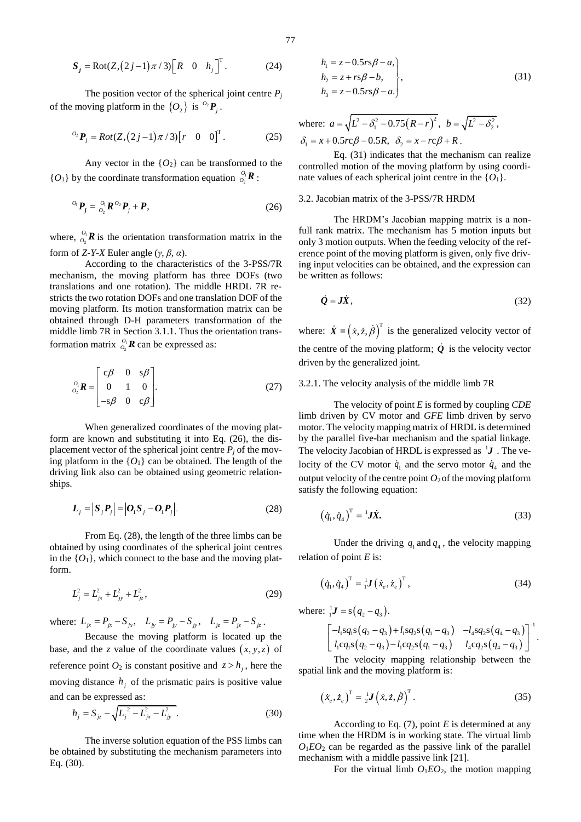$$
\mathbf{S}_{j} = \text{Rot}(Z,(2j-1)\pi/3)\begin{bmatrix} R & 0 & h_{j} \end{bmatrix}^{\mathrm{T}}.
$$
 (24)

The position vector of the spherical joint centre  $P_j$ of the moving platform in the  $\{O_2\}$  is  $O_2P_j$ .

$$
^{0_{2}}P_{j} = Rot(Z,(2j-1)\pi/3)[r \quad 0 \quad 0]^{T}. \qquad (25)
$$

Any vector in the  ${O_2}$  can be transformed to the  ${O_1}$  by the coordinate transformation equation  $O_2$  $\frac{o_{\!\scriptscriptstyle{1}}}{o_{\!\scriptscriptstyle{2}}}\bm{R}$  :

$$
{}^{O_i}P_j = {}^{O_i}_{O_2}R {}^{O_2}P_j + P,\tag{26}
$$

where,  $\frac{v_1}{v_2}$  $O_2$ <sup>O</sup><sub>1</sub> **R** is the orientation transformation matrix in the form of *Z-Y-X* Euler angle (*γ*, *β*, *α*).

According to the characteristics of the 3-PSS/7R mechanism, the moving platform has three DOFs (two translations and one rotation). The middle HRDL 7R restricts the two rotation DOFs and one translation DOF of the moving platform. Its motion transformation matrix can be obtained through D-H parameters transformation of the middle limb 7R in Section 3.1.1. Thus the orientation transformation matrix  $O_1 \mathbb{R}$  can be expressed as: 5. = KortZ.(2.)-1) $\pi$ 7.5)[K 0 n<sub>1</sub>]. (24)<br>
The position vector of the spherical joint center *P*,<br>
the moving platform in the {O<sub>1</sub>} is <sup>0</sup>*P<sub>P</sub>*.<br>
<sup>2</sup>*P<sub>P</sub>* = Rot(Z.(2.)-1) $\pi$ 7.3)[F 0 0]<sup>T</sup>. (25) a δ<sub>1</sub> = x<br>
And My v

$$
\begin{bmatrix}\n\mathbf{0}_1 & \mathbf{R} \\
\mathbf{0}_2 & \mathbf{R}\n\end{bmatrix}\n\begin{bmatrix}\n\mathbf{c}\boldsymbol{\beta} & 0 & \mathbf{s}\boldsymbol{\beta} \\
0 & 1 & 0 \\
-\mathbf{s}\boldsymbol{\beta} & 0 & \mathbf{c}\boldsymbol{\beta}\n\end{bmatrix}.
$$
\n(27)

When generalized coordinates of the moving platform are known and substituting it into Eq. (26), the displacement vector of the spherical joint centre  $P_j$  of the moving platform in the  ${O_1}$  can be obtained. The length of the driving link also can be obtained using geometric relationships.

$$
\boldsymbol{L}_{j} = |\boldsymbol{S}_{j}\boldsymbol{P}_{j}| = |\boldsymbol{O}_{1}\boldsymbol{S}_{j} - \boldsymbol{O}_{1}\boldsymbol{P}_{j}|.
$$
 (28)

From Eq. (28), the length of the three limbs can be obtained by using coordinates of the spherical joint centres in the  $\{O_1\}$ , which connect to the base and the moving platform.

$$
L_j^2 = L_{jx}^2 + L_{jy}^2 + L_{jz}^2, \tag{29}
$$

where:  $L_{jx} = P_{jx} - S_{jx}$ ,  $L_{jy} = P_{jy} - S_{jy}$ ,  $L_{jz} = P_{jz} - S_{jz}$ .

Because the moving platform is located up the base, and the *z* value of the coordinate values  $(x, y, z)$  of reference point  $O_2$  is constant positive and  $z > h_j$ , here the moving distance  $h_j$  of the prismatic pairs is positive value and can be expressed as:

$$
h_j = S_{jz} - \sqrt{L_j^2 - L_{jx}^2 - L_{jy}^2}.
$$
 (30)

The inverse solution equation of the PSS limbs can be obtained by substituting the mechanism parameters into

$$
h_1 = z - 0.5rs\beta - a,
$$
  
\n
$$
h_2 = z + rs\beta - b,
$$
  
\n
$$
h_3 = z - 0.5rs\beta - a.
$$
\n(31)

where:  $a = \sqrt{L^2 - \delta_1^2 - 0.75(R - r)^2}$ ,  $b = \sqrt{L^2 - \delta_2^2}$ ,  $\delta_1 = x + 0.5rc\beta - 0.5R, \ \delta_2 = x - rc\beta + R$ .

Eq. (31) indicates that the mechanism can realize controlled motion of the moving platform by using coordinate values of each spherical joint centre in the {*O*1}.

## 3.2. Jacobian matrix of the 3-PSS/7R HRDM

The HRDM's Jacobian mapping matrix is a nonfull rank matrix. The mechanism has 5 motion inputs but only 3 motion outputs. When the feeding velocity of the reference point of the moving platform is given, only five driving input velocities can be obtained, and the expression can be written as follows:

$$
\dot{\mathbf{Q}} = \mathbf{J}\dot{\mathbf{X}},\tag{32}
$$

where:  $\dot{\mathbf{X}} = (\dot{x}, \dot{z}, \dot{\beta})^T$  is the generalized velocity vector of the centre of the moving platform;  $Q$  is the velocity vector driven by the generalized joint.

## 3.2.1. The velocity analysis of the middle limb 7R

The velocity of point *E* is formed by coupling *CDE* limb driven by CV motor and *GFE* limb driven by servo motor. The velocity mapping matrix of HRDL is determined by the parallel five-bar mechanism and the spatial linkage. The velocity Jacobian of HRDL is expressed as 1 *J* . The velocity of the CV motor  $\dot{q}_1$  and the servo motor  $\dot{q}_4$  and the output velocity of the centre point  $O_2$  of the moving platform satisfy the following equation:

$$
\left(\dot{q}_1, \dot{q}_4\right)^{\mathrm{T}} = {}^{\mathrm{I}}\mathbf{J}\dot{\mathbf{X}}.\tag{33}
$$

Under the driving  $q_1$  and  $q_4$ , the velocity mapping relation of point *E* is:

$$
\left(\dot{q}_1, \dot{q}_4\right)^{\mathrm{T}} = \frac{1}{1} \mathbf{J} \left(\dot{x}_e, \dot{z}_e\right)^{\mathrm{T}},\tag{34}
$$

where:  ${}_{1}^{1}$ **J** = s( $q_{2} - q_{3}$ ).

$$
\begin{bmatrix}\n-l_1sq_1s(q_2-q_3).\n\end{bmatrix}\n\begin{bmatrix}\n-l_1sq_1s(q_2-q_3)+l_1sq_2s(q_1-q_3) & -l_4sq_2s(q_4-q_3) \\
l_1cq_1s(q_2-q_3)-l_1cq_2s(q_1-q_3) & l_4cq_2s(q_4-q_3)\n\end{bmatrix}^{-1}.
$$

.

The velocity mapping relationship between the spatial link and the moving platform is:

$$
\left(\dot{x}_e, \dot{z}_e\right)^{\mathrm{T}} = \frac{1}{2} \mathbf{J}\left(\dot{x}, \dot{z}, \dot{\beta}\right)^{\mathrm{T}}.\tag{35}
$$

According to Eq. (7), point *E* is determined at any time when the HRDM is in working state. The virtual limb  $O_1EO_2$  can be regarded as the passive link of the parallel mechanism with a middle passive link [21].

For the virtual limb  $O_1EO_2$ , the motion mapping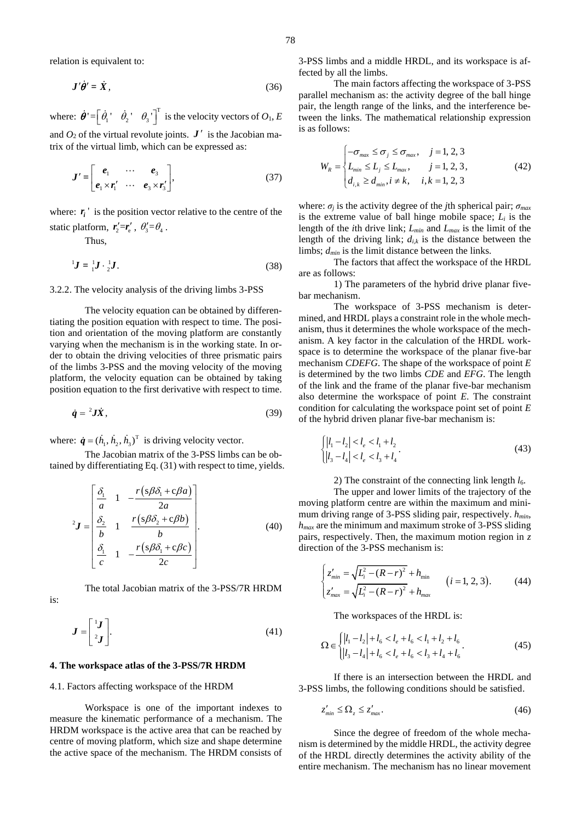relation is equivalent to:

$$
\mathbf{J}'\dot{\theta}' = \dot{\mathbf{X}}\,,\tag{36}
$$

where:  $\dot{\theta}$ <sup>'</sup> =  $\begin{bmatrix} \dot{\theta}_1 & \dot{\theta}_2 \\ \dot{\theta}_1 & \dot{\theta}_2 \end{bmatrix}^T$  is the velocity vectors of  $O_1$ , *E* and  $O_2$  of the virtual revolute joints.  $J'$  is the Jacobian matrix of the virtual limb, which can be expressed as:

$$
\boldsymbol{J}' = \begin{bmatrix} \boldsymbol{e}_1 & \cdots & \boldsymbol{e}_3 \\ \boldsymbol{e}_1 \times \boldsymbol{r}_1' & \cdots & \boldsymbol{e}_3 \times \boldsymbol{r}_3' \end{bmatrix},\tag{37}
$$

where:  $r_i$ <sup>'</sup> is the position vector relative to the centre of the static platform,  $r'_2 = r'_e$ ,  $\theta'_3 = \theta_4$ .

Thus,

$$
{}^{1}J = {}^{1}_{1}J \cdot {}^{1}_{2}J. \tag{38}
$$

3.2.2. The velocity analysis of the driving limbs 3-PSS

The velocity equation can be obtained by differentiating the position equation with respect to time. The position and orientation of the moving platform are constantly varying when the mechanism is in the working state. In order to obtain the driving velocities of three prismatic pairs of the limbs 3-PSS and the moving velocity of the moving platform, the velocity equation can be obtained by taking position equation to the first derivative with respect to time.

$$
\dot{q} = {}^{2}JX, \tag{39}
$$

where:  $\dot{\boldsymbol{q}} = (h_1, h_2, h_3)^T$  is driving velocity vector.

The Jacobian matrix of the 3-PSS limbs can be obtained by differentiating Eq. (31) with respect to time, yields.

$$
{}^{2}J = \begin{bmatrix} \frac{\delta_{1}}{a} & 1 & -\frac{r(s\beta\delta_{1} + c\beta a)}{2a} \\ \frac{\delta_{2}}{b} & 1 & \frac{r(s\beta\delta_{2} + c\beta b)}{b} \\ \frac{\delta_{1}}{c} & 1 & -\frac{r(s\beta\delta_{1} + c\beta c)}{2c} \end{bmatrix}.
$$
 (40)

The total Jacobian matrix of the 3-PSS/7R HRDM is:

$$
\boldsymbol{J} = \begin{bmatrix} {}^{1}\boldsymbol{J} \\ {}^{2}\boldsymbol{J} \end{bmatrix} . \tag{41}
$$

#### **4. The workspace atlas of the 3-PSS/7R HRDM**

#### 4.1. Factors affecting workspace of the HRDM

Workspace is one of the important indexes to measure the kinematic performance of a mechanism. The HRDM workspace is the active area that can be reached by centre of moving platform, which size and shape determine the active space of the mechanism. The HRDM consists of 3-PSS limbs and a middle HRDL, and its workspace is affected by all the limbs.

The main factors affecting the workspace of 3-PSS parallel mechanism as: the activity degree of the ball hinge pair, the length range of the links, and the interference between the links. The mathematical relationship expression is as follows:

$$
W_R = \begin{cases} -\sigma_{\text{max}} \le \sigma_j \le \sigma_{\text{max}}, & j = 1, 2, 3\\ L_{\text{min}} \le L_j \le L_{\text{max}}, & j = 1, 2, 3, \\ d_{i,k} \ge d_{\text{min}}, i \ne k, & i, k = 1, 2, 3 \end{cases}
$$
(42)

where: *σ<sup>j</sup>* is the activity degree of the *j*th spherical pair; *σmax* is the extreme value of ball hinge mobile space; *L<sup>i</sup>* is the length of the *i*th drive link; *Lmin* and *Lmax* is the limit of the length of the driving link;  $d_{i,k}$  is the distance between the limbs; *dmin* is the limit distance between the links.

The factors that affect the workspace of the HRDL are as follows:

1) The parameters of the hybrid drive planar fivebar mechanism.

The workspace of 3-PSS mechanism is determined, and HRDL plays a constraint role in the whole mechanism, thus it determines the whole workspace of the mechanism. A key factor in the calculation of the HRDL workspace is to determine the workspace of the planar five-bar mechanism *CDEFG*. The shape of the workspace of point *E* is determined by the two limbs *CDE* and *EFG*. The length of the link and the frame of the planar five-bar mechanism also determine the workspace of point *E*. The constraint condition for calculating the workspace point set of point *E* of the hybrid driven planar five-bar mechanism is:

$$
\begin{cases} |l_1 - l_2| < l_e < l_1 + l_2 \\ |l_3 - l_4| < l_e < l_3 + l_4 \end{cases} \tag{43}
$$

2) The constraint of the connecting link length  $l_6$ .

The upper and lower limits of the trajectory of the moving platform centre are within the maximum and minimum driving range of 3-PSS sliding pair, respectively. *hmin*, *hmax* are the minimum and maximum stroke of 3-PSS sliding pairs, respectively. Then, the maximum motion region in *z* direction of the 3-PSS mechanism is:

$$
\begin{cases} z'_{\min} = \sqrt{L_i^2 - (R - r)^2} + h_{\min} \\ z'_{\max} = \sqrt{L_i^2 - (R - r)^2} + h_{\max} \end{cases} \quad (i = 1, 2, 3). \quad (44)
$$

The workspaces of the HRDL is:

$$
\Omega \in \begin{cases} |l_1 - l_2| + l_6 < l_e + l_6 < l_1 + l_2 + l_6 \\ |l_3 - l_4| + l_6 < l_e + l_6 < l_3 + l_4 + l_6 \end{cases} \tag{45}
$$

If there is an intersection between the HRDL and 3-PSS limbs, the following conditions should be satisfied.

$$
z'_{\min} \le \Omega_z \le z'_{\max}.\tag{46}
$$

Since the degree of freedom of the whole mechanism is determined by the middle HRDL, the activity degree of the HRDL directly determines the activity ability of the entire mechanism. The mechanism has no linear movement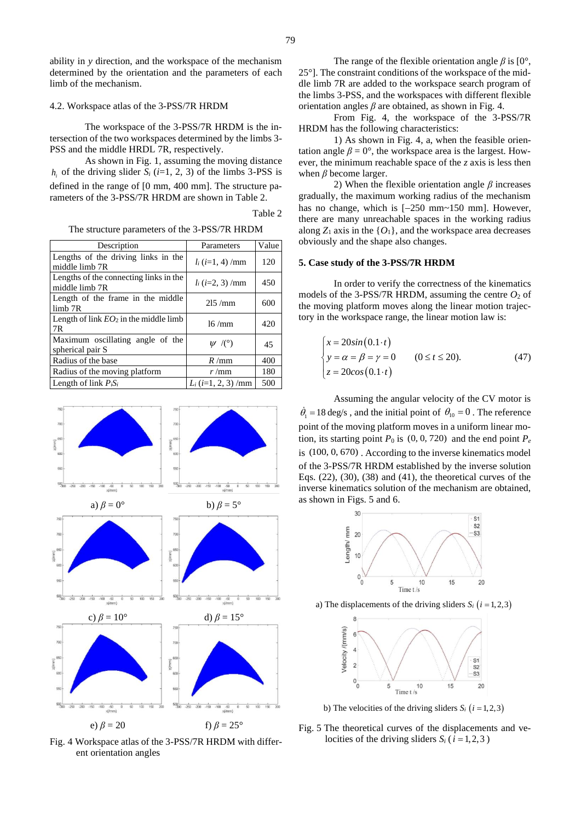ability in *y* direction, and the workspace of the mechanism determined by the orientation and the parameters of each limb of the mechanism.

#### 4.2. Workspace atlas of the 3-PSS/7R HRDM

The workspace of the 3-PSS/7R HRDM is the intersection of the two workspaces determined by the limbs 3- PSS and the middle HRDL 7R, respectively.

As shown in Fig. 1, assuming the moving distance  $h_i$  of the driving slider  $S_i$  ( $i=1, 2, 3$ ) of the limbs 3-PSS is defined in the range of [0 mm, 400 mm]. The structure parameters of the 3-PSS/7R HRDM are shown in Table 2.

Table 2

The structure parameters of the 3-PSS/7R HRDM

| Description                                              | Parameters                    | Value |
|----------------------------------------------------------|-------------------------------|-------|
| Lengths of the driving links in the<br>middle limb 7R    | $l_i$ ( <i>i</i> =1, 4) /mm   | 120   |
| Lengths of the connecting links in the<br>middle limb 7R | $l_i$ ( <i>i</i> =2, 3)/mm    | 450   |
| Length of the frame in the middle<br>limb <sub>7R</sub>  | 215/mm                        | 600   |
| Length of link $EO_2$ in the middle limb<br>7R           | 16/mm                         | 420   |
| Maximum oscillating angle of the<br>spherical pair S     | $\psi$ /(°)                   | 45    |
| Radius of the base                                       | R/mm                          | 400   |
| Radius of the moving platform                            | r/mm                          | 180   |
| Length of link $P_iS_i$                                  | $L_i$ ( <i>i</i> =1, 2, 3)/mm | 500   |



Fig. 4 Workspace atlas of the 3-PSS/7R HRDM with different orientation angles

The range of the flexible orientation angle  $\beta$  is [0°, 25°]. The constraint conditions of the workspace of the middle limb 7R are added to the workspace search program of the limbs 3-PSS, and the workspaces with different flexible orientation angles *β* are obtained, as shown in Fig. 4.

From Fig. 4, the workspace of the 3-PSS/7R HRDM has the following characteristics:

1) As shown in Fig. 4, a, when the feasible orientation angle  $\beta = 0^{\circ}$ , the workspace area is the largest. However, the minimum reachable space of the *z* axis is less then when  $\beta$  become larger.

2) When the flexible orientation angle *β* increases gradually, the maximum working radius of the mechanism has no change, which is [−250 mm~150 mm]. However, there are many unreachable spaces in the working radius along  $Z_1$  axis in the  $\{O_1\}$ , and the workspace area decreases obviously and the shape also changes.

# **5. Case study of the 3-PSS/7R HRDM**

In order to verify the correctness of the kinematics models of the 3-PSS/7R HRDM, assuming the centre  $O_2$  of the moving platform moves along the linear motion trajectory in the workspace range, the linear motion law is:

$$
\begin{cases}\n x = 20\sin(0.1 \cdot t) \\
 y = \alpha = \beta = \gamma = 0 \\
 z = 20\cos(0.1 \cdot t)\n\end{cases}
$$
\n(47)

Assuming the angular velocity of the CV motor is  $\dot{\theta}_1 = 18 \text{ deg/s}$ , and the initial point of  $\theta_{10} = 0$ . The reference point of the moving platform moves in a uniform linear motion, its starting point  $P_0$  is  $(0, 0, 720)$  and the end point  $P_e$ is (100, 0, 670) . According to the inverse kinematics model of the 3-PSS/7R HRDM established by the inverse solution Eqs.  $(22)$ ,  $(30)$ ,  $(38)$  and  $(41)$ , the theoretical curves of the inverse kinematics solution of the mechanism are obtained, as shown in Figs. 5 and 6.



a) The displacements of the driving sliders  $S_i$  ( $i = 1, 2, 3$ )



b) The velocities of the driving sliders  $S_i$  ( $i = 1, 2, 3$ )

Fig. 5 The theoretical curves of the displacements and velocities of the driving sliders  $S_i$  ( $i = 1, 2, 3$ )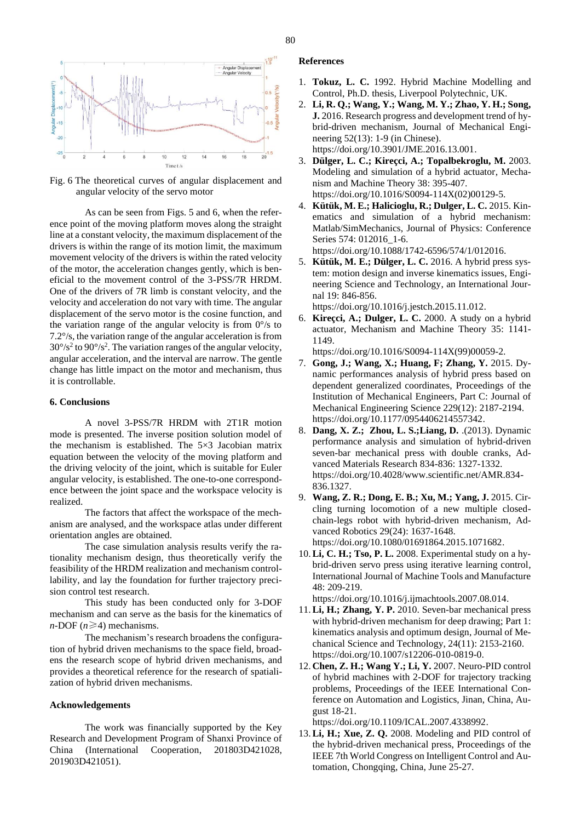

Fig. 6 The theoretical curves of angular displacement and angular velocity of the servo motor

As can be seen from Figs. 5 and 6, when the reference point of the moving platform moves along the straight line at a constant velocity, the maximum displacement of the drivers is within the range of its motion limit, the maximum movement velocity of the drivers is within the rated velocity of the motor, the acceleration changes gently, which is beneficial to the movement control of the 3-PSS/7R HRDM. One of the drivers of 7R limb is constant velocity, and the velocity and acceleration do not vary with time. The angular displacement of the servo motor is the cosine function, and the variation range of the angular velocity is from  $0^{\circ}/s$  to 7.2°/s, the variation range of the angular acceleration is from  $30^{\circ}/s^2$  to  $90^{\circ}/s^2$ . The variation ranges of the angular velocity, angular acceleration, and the interval are narrow. The gentle change has little impact on the motor and mechanism, thus it is controllable.

# **6. Conclusions**

A novel 3-PSS/7R HRDM with 2T1R motion mode is presented. The inverse position solution model of the mechanism is established. The 5×3 Jacobian matrix equation between the velocity of the moving platform and the driving velocity of the joint, which is suitable for Euler angular velocity, is established. The one-to-one correspondence between the joint space and the workspace velocity is realized.

The factors that affect the workspace of the mechanism are analysed, and the workspace atlas under different orientation angles are obtained.

The case simulation analysis results verify the rationality mechanism design, thus theoretically verify the feasibility of the HRDM realization and mechanism controllability, and lay the foundation for further trajectory precision control test research.

This study has been conducted only for 3-DOF mechanism and can serve as the basis for the kinematics of  $n$ -DOF ( $n \ge 4$ ) mechanisms.

The mechanism's research broadens the configuration of hybrid driven mechanisms to the space field, broadens the research scope of hybrid driven mechanisms, and provides a theoretical reference for the research of spatialization of hybrid driven mechanisms.

# **Acknowledgements**

The work was financially supported by the Key Research and Development Program of Shanxi Province of China (International Cooperation, 201803D421028, 201903D421051).

# **References**

- 1. **Tokuz, L. C.** 1992. Hybrid Machine Modelling and Control, Ph.D. thesis, Liverpool Polytechnic, UK.
- 2. **Li, R. Q.; Wang, Y.; Wang, M. Y.; Zhao, Y. H.; Song, J.** 2016. Research progress and development trend of hybrid-driven mechanism, Journal of Mechanical Engineering 52(13): 1-9 (in Chinese). https://doi.org/10.3901/JME.2016.13.001.
- 3. **Dülger, L. C.; Kireçci, A.; Topalbekroglu, M.** 2003. Modeling and simulation of a hybrid actuator, Mechanism and Machine Theory 38: 395-407. https://doi.org/10.1016/S0094-114X(02)00129-5.
- 4. **Kütük, M. E.; Halicioglu, R.; Dulger, L. C.** 2015. Kinematics and simulation of a hybrid mechanism: Matlab/SimMechanics, Journal of Physics: Conference Series 574: 012016\_1-6.

https://doi.org/10.1088/1742-6596/574/1/012016.

5. **Kütük, M. E.; Dülger, L. C.** 2016. A hybrid press system: motion design and inverse kinematics issues, Engineering Science and Technology, an International Journal 19: 846-856.

https://doi.org/10.1016/j.jestch.2015.11.012.

6. **Kireçci, A.; Dulger, L. C.** 2000. A study on a hybrid actuator, Mechanism and Machine Theory 35: 1141- 1149.

https://doi.org/10.1016/S0094-114X(99)00059-2.

- 7. **Gong, J.; Wang, X.; Huang, F; Zhang, Y.** 2015. Dynamic performances analysis of hybrid press based on dependent generalized coordinates, Proceedings of the Institution of Mechanical Engineers, Part C: Journal of Mechanical Engineering Science 229(12): 2187-2194. https://doi.org/10.1177/0954406214557342.
- 8. **Dang, X. Z.; Zhou, L. S.;Liang, D.** .(2013). Dynamic performance analysis and simulation of hybrid-driven seven-bar mechanical press with double cranks, Advanced Materials Research 834-836: 1327-1332. https://doi.org/10.4028/www.scientific.net/AMR.834- 836.1327.
- 9. **Wang, Z. R.; Dong, E. B.; Xu, M.; Yang, J.** 2015. Circling turning locomotion of a new multiple closedchain-legs robot with hybrid-driven mechanism, Advanced Robotics 29(24): 1637-1648. https://doi.org/10.1080/01691864.2015.1071682.
- 10.**Li, C. H.; Tso, P. L.** 2008. Experimental study on a hybrid-driven servo press using iterative learning control, International Journal of Machine Tools and Manufacture 48: 209-219.

https://doi.org/10.1016/j.ijmachtools.2007.08.014.

- 11.**Li, H.; Zhang, Y. P.** 2010. Seven-bar mechanical press with hybrid-driven mechanism for deep drawing; Part 1: kinematics analysis and optimum design, Journal of Mechanical Science and Technology, 24(11): 2153-2160. https://doi.org/10.1007/s12206-010-0819-0.
- 12. **Chen, Z. H.; Wang Y.; Li, Y.** 2007. Neuro-PID control of hybrid machines with 2-DOF for trajectory tracking problems, Proceedings of the IEEE International Conference on Automation and Logistics, Jinan, China, August 18-21.

https://doi.org/10.1109/ICAL.2007.4338992.

13.**Li, H.; Xue, Z. Q.** 2008. Modeling and PID control of the hybrid-driven mechanical press, Proceedings of the IEEE 7th World Congress on Intelligent Control and Automation, Chongqing, China, June 25-27.